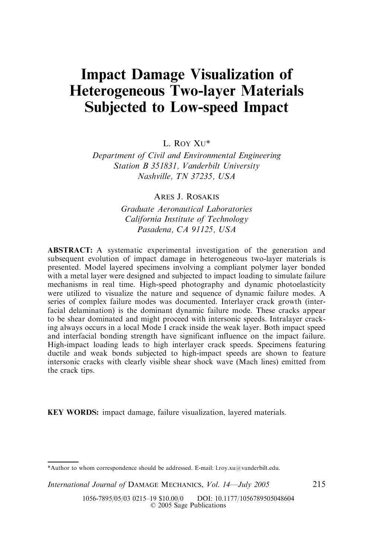# Impact Damage Visualization of Heterogeneous Two-layer Materials Subjected to Low-speed Impact

L. ROY XU\*

Department of Civil and Environmental Engineering Station B 351831, Vanderbilt University Nashville, TN 37235, USA

ARES J. ROSAKIS

Graduate Aeronautical Laboratories California Institute of Technology Pasadena, CA 91125, USA

ABSTRACT: A systematic experimental investigation of the generation and subsequent evolution of impact damage in heterogeneous two-layer materials is presented. Model layered specimens involving a compliant polymer layer bonded with a metal layer were designed and subjected to impact loading to simulate failure mechanisms in real time. High-speed photography and dynamic photoelasticity were utilized to visualize the nature and sequence of dynamic failure modes. A series of complex failure modes was documented. Interlayer crack growth (interfacial delamination) is the dominant dynamic failure mode. These cracks appear to be shear dominated and might proceed with intersonic speeds. Intralayer cracking always occurs in a local Mode I crack inside the weak layer. Both impact speed and interfacial bonding strength have significant influence on the impact failure. High-impact loading leads to high interlayer crack speeds. Specimens featuring ductile and weak bonds subjected to high-impact speeds are shown to feature intersonic cracks with clearly visible shear shock wave (Mach lines) emitted from the crack tips.

KEY WORDS: impact damage, failure visualization, layered materials.

International Journal of DAMAGE MECHANICS, Vol. 14—July 2005 215

<sup>\*</sup>Author to whom correspondence should be addressed. E-mail: l.roy.xu@vanderbilt.edu.

<sup>1056-7895/05/03 0215–19 \$10.00/0</sup> DOI: 10.1177/1056789505048604 © 2005 Sage Publications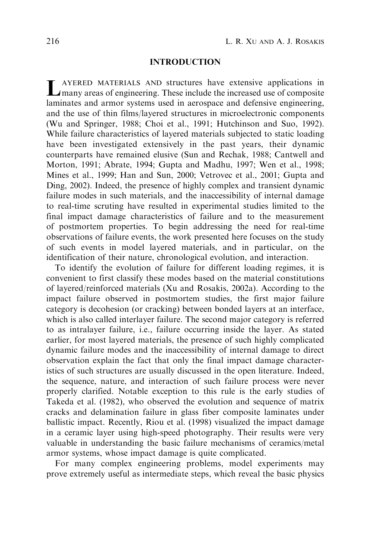## INTRODUCTION

LAYERED MATERIALS AND structures have extensive applications in many areas of engineering. These include the increased use of composite laminates and armor systems used in aerospace and defensive engineering, and the use of thin films/layered structures in microelectronic components (Wu and Springer, 1988; Choi et al., 1991; Hutchinson and Suo, 1992). While failure characteristics of layered materials subjected to static loading have been investigated extensively in the past years, their dynamic counterparts have remained elusive (Sun and Rechak, 1988; Cantwell and Morton, 1991; Abrate, 1994; Gupta and Madhu, 1997; Wen et al., 1998; Mines et al., 1999; Han and Sun, 2000; Vetrovec et al., 2001; Gupta and Ding, 2002). Indeed, the presence of highly complex and transient dynamic failure modes in such materials, and the inaccessibility of internal damage to real-time scruting have resulted in experimental studies limited to the final impact damage characteristics of failure and to the measurement of postmortem properties. To begin addressing the need for real-time observations of failure events, the work presented here focuses on the study of such events in model layered materials, and in particular, on the identification of their nature, chronological evolution, and interaction.

To identify the evolution of failure for different loading regimes, it is convenient to first classify these modes based on the material constitutions of layered/reinforced materials (Xu and Rosakis, 2002a). According to the impact failure observed in postmortem studies, the first major failure category is decohesion (or cracking) between bonded layers at an interface, which is also called interlayer failure. The second major category is referred to as intralayer failure, i.e., failure occurring inside the layer. As stated earlier, for most layered materials, the presence of such highly complicated dynamic failure modes and the inaccessibility of internal damage to direct observation explain the fact that only the final impact damage characteristics of such structures are usually discussed in the open literature. Indeed, the sequence, nature, and interaction of such failure process were never properly clarified. Notable exception to this rule is the early studies of Takeda et al. (1982), who observed the evolution and sequence of matrix cracks and delamination failure in glass fiber composite laminates under ballistic impact. Recently, Riou et al. (1998) visualized the impact damage in a ceramic layer using high-speed photography. Their results were very valuable in understanding the basic failure mechanisms of ceramics/metal armor systems, whose impact damage is quite complicated.

For many complex engineering problems, model experiments may prove extremely useful as intermediate steps, which reveal the basic physics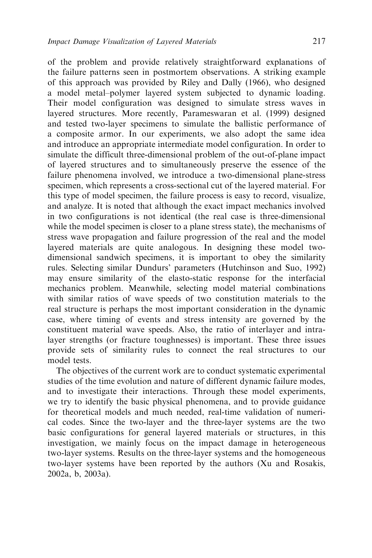of the problem and provide relatively straightforward explanations of the failure patterns seen in postmortem observations. A striking example of this approach was provided by Riley and Dally (1966), who designed a model metal–polymer layered system subjected to dynamic loading. Their model configuration was designed to simulate stress waves in layered structures. More recently, Parameswaran et al. (1999) designed and tested two-layer specimens to simulate the ballistic performance of a composite armor. In our experiments, we also adopt the same idea and introduce an appropriate intermediate model configuration. In order to simulate the difficult three-dimensional problem of the out-of-plane impact of layered structures and to simultaneously preserve the essence of the failure phenomena involved, we introduce a two-dimensional plane-stress specimen, which represents a cross-sectional cut of the layered material. For this type of model specimen, the failure process is easy to record, visualize, and analyze. It is noted that although the exact impact mechanics involved in two configurations is not identical (the real case is three-dimensional while the model specimen is closer to a plane stress state), the mechanisms of stress wave propagation and failure progression of the real and the model layered materials are quite analogous. In designing these model twodimensional sandwich specimens, it is important to obey the similarity rules. Selecting similar Dundurs' parameters (Hutchinson and Suo, 1992) may ensure similarity of the elasto-static response for the interfacial mechanics problem. Meanwhile, selecting model material combinations with similar ratios of wave speeds of two constitution materials to the real structure is perhaps the most important consideration in the dynamic case, where timing of events and stress intensity are governed by the constituent material wave speeds. Also, the ratio of interlayer and intralayer strengths (or fracture toughnesses) is important. These three issues provide sets of similarity rules to connect the real structures to our model tests.

The objectives of the current work are to conduct systematic experimental studies of the time evolution and nature of different dynamic failure modes, and to investigate their interactions. Through these model experiments, we try to identify the basic physical phenomena, and to provide guidance for theoretical models and much needed, real-time validation of numerical codes. Since the two-layer and the three-layer systems are the two basic configurations for general layered materials or structures, in this investigation, we mainly focus on the impact damage in heterogeneous two-layer systems. Results on the three-layer systems and the homogeneous two-layer systems have been reported by the authors (Xu and Rosakis, 2002a, b, 2003a).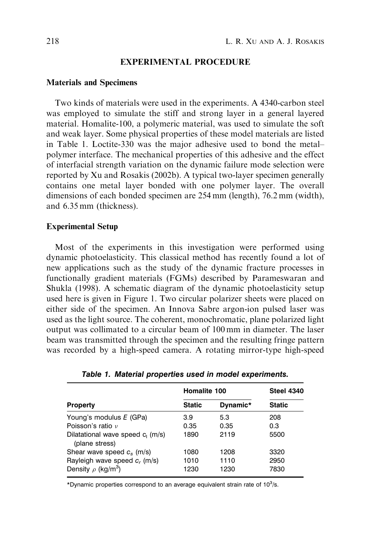#### EXPERIMENTAL PROCEDURE

#### Materials and Specimens

Two kinds of materials were used in the experiments. A 4340-carbon steel was employed to simulate the stiff and strong layer in a general layered material. Homalite-100, a polymeric material, was used to simulate the soft and weak layer. Some physical properties of these model materials are listed in Table 1. Loctite-330 was the major adhesive used to bond the metal– polymer interface. The mechanical properties of this adhesive and the effect of interfacial strength variation on the dynamic failure mode selection were reported by Xu and Rosakis (2002b). A typical two-layer specimen generally contains one metal layer bonded with one polymer layer. The overall dimensions of each bonded specimen are 254 mm (length), 76.2 mm (width), and 6.35 mm (thickness).

#### Experimental Setup

Most of the experiments in this investigation were performed using dynamic photoelasticity. This classical method has recently found a lot of new applications such as the study of the dynamic fracture processes in functionally gradient materials (FGMs) described by Parameswaran and Shukla (1998). A schematic diagram of the dynamic photoelasticity setup used here is given in Figure 1. Two circular polarizer sheets were placed on either side of the specimen. An Innova Sabre argon-ion pulsed laser was used as the light source. The coherent, monochromatic, plane polarized light output was collimated to a circular beam of 100 mm in diameter. The laser beam was transmitted through the specimen and the resulting fringe pattern was recorded by a high-speed camera. A rotating mirror-type high-speed

| <b>Property</b>                                       | Homalite 100  |          | <b>Steel 4340</b> |
|-------------------------------------------------------|---------------|----------|-------------------|
|                                                       | <b>Static</b> | Dynamic* | <b>Static</b>     |
| Young's modulus E (GPa)                               | 3.9           | 5.3      | 208               |
| Poisson's ratio v                                     | 0.35          | 0.35     | 0.3               |
| Dilatational wave speed $c_1$ (m/s)<br>(plane stress) | 1890          | 2119     | 5500              |
| Shear wave speed $c_s$ (m/s)                          | 1080          | 1208     | 3320              |
| Rayleigh wave speed c, (m/s)                          | 1010          | 1110     | 2950              |
| Density $\rho$ (kg/m <sup>3</sup> )                   | 1230          | 1230     | 7830              |

Table 1. Material properties used in model experiments.

\*Dynamic properties correspond to an average equivalent strain rate of  $10^3$ /s.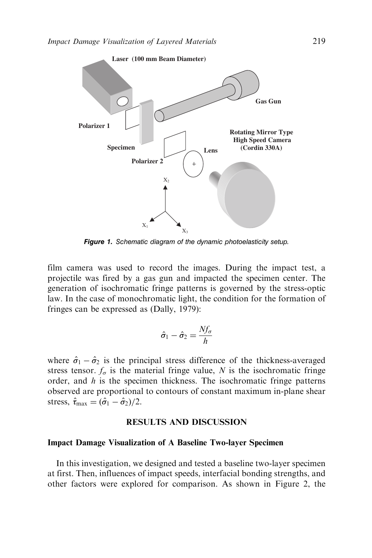

Figure 1. Schematic diagram of the dynamic photoelasticity setup.

film camera was used to record the images. During the impact test, a projectile was fired by a gas gun and impacted the specimen center. The generation of isochromatic fringe patterns is governed by the stress-optic law. In the case of monochromatic light, the condition for the formation of fringes can be expressed as (Dally, 1979):

$$
\hat{\sigma}_1 - \hat{\sigma}_2 = \frac{Nf_\sigma}{h}
$$

where  $\hat{\sigma}_1 - \hat{\sigma}_2$  is the principal stress difference of the thickness-averaged stress tensor.  $f_{\sigma}$  is the material fringe value, N is the isochromatic fringe order, and  $h$  is the specimen thickness. The isochromatic fringe patterns observed are proportional to contours of constant maximum in-plane shear stress,  $\hat{\tau}_{\text{max}} = (\hat{\sigma}_1 - \hat{\sigma}_2)/2$ .

## RESULTS AND DISCUSSION

#### Impact Damage Visualization of A Baseline Two-layer Specimen

In this investigation, we designed and tested a baseline two-layer specimen at first. Then, influences of impact speeds, interfacial bonding strengths, and other factors were explored for comparison. As shown in Figure 2, the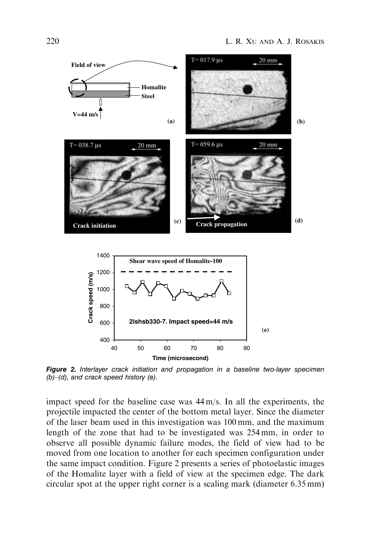

**Figure 2.** Interlayer crack initiation and propagation in a baseline two-layer specimen (b)–(d), and crack speed history (e).

**Time (microsecond)**

impact speed for the baseline case was 44 m/s. In all the experiments, the projectile impacted the center of the bottom metal layer. Since the diameter of the laser beam used in this investigation was 100 mm, and the maximum length of the zone that had to be investigated was 254 mm, in order to observe all possible dynamic failure modes, the field of view had to be moved from one location to another for each specimen configuration under the same impact condition. Figure 2 presents a series of photoelastic images of the Homalite layer with a field of view at the specimen edge. The dark circular spot at the upper right corner is a scaling mark (diameter 6.35 mm)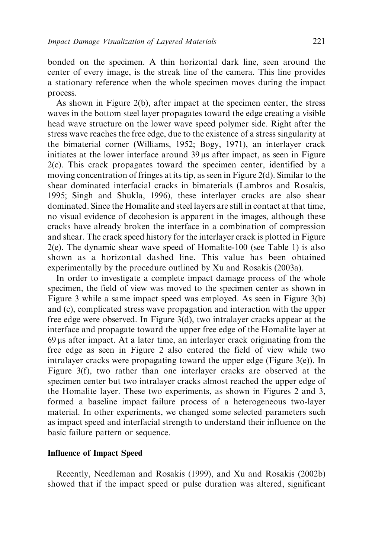bonded on the specimen. A thin horizontal dark line, seen around the center of every image, is the streak line of the camera. This line provides a stationary reference when the whole specimen moves during the impact process.

As shown in Figure 2(b), after impact at the specimen center, the stress waves in the bottom steel layer propagates toward the edge creating a visible head wave structure on the lower wave speed polymer side. Right after the stress wave reaches the free edge, due to the existence of a stress singularity at the bimaterial corner (Williams, 1952; Bogy, 1971), an interlayer crack initiates at the lower interface around  $39 \mu s$  after impact, as seen in Figure 2(c). This crack propagates toward the specimen center, identified by a moving concentration of fringes at its tip, as seen in Figure 2(d). Similar to the shear dominated interfacial cracks in bimaterials (Lambros and Rosakis, 1995; Singh and Shukla, 1996), these interlayer cracks are also shear dominated. Since the Homalite and steel layers are still in contact at that time, no visual evidence of decohesion is apparent in the images, although these cracks have already broken the interface in a combination of compression and shear. The crack speed history for the interlayer crack is plotted in Figure 2(e). The dynamic shear wave speed of Homalite-100 (see Table 1) is also shown as a horizontal dashed line. This value has been obtained experimentally by the procedure outlined by Xu and Rosakis (2003a).

In order to investigate a complete impact damage process of the whole specimen, the field of view was moved to the specimen center as shown in Figure 3 while a same impact speed was employed. As seen in Figure 3(b) and (c), complicated stress wave propagation and interaction with the upper free edge were observed. In Figure 3(d), two intralayer cracks appear at the interface and propagate toward the upper free edge of the Homalite layer at  $69 \mu s$  after impact. At a later time, an interlayer crack originating from the free edge as seen in Figure 2 also entered the field of view while two intralayer cracks were propagating toward the upper edge (Figure 3(e)). In Figure 3(f), two rather than one interlayer cracks are observed at the specimen center but two intralayer cracks almost reached the upper edge of the Homalite layer. These two experiments, as shown in Figures 2 and 3, formed a baseline impact failure process of a heterogeneous two-layer material. In other experiments, we changed some selected parameters such as impact speed and interfacial strength to understand their influence on the basic failure pattern or sequence.

## Influence of Impact Speed

Recently, Needleman and Rosakis (1999), and Xu and Rosakis (2002b) showed that if the impact speed or pulse duration was altered, significant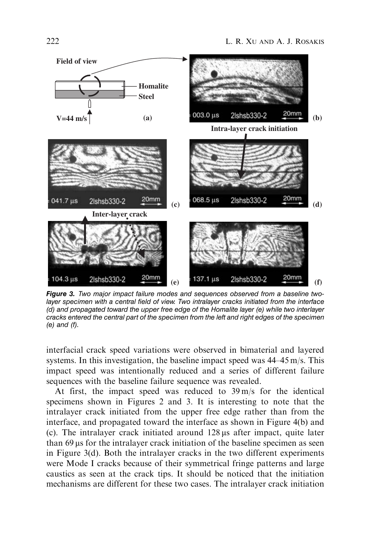

Figure 3. Two major impact failure modes and sequences observed from a baseline twolayer specimen with a central field of view. Two intralayer cracks initiated from the interface (d) and propagated toward the upper free edge of the Homalite layer (e) while two interlayer cracks entered the central part of the specimen from the left and right edges of the specimen (e) and (f).

interfacial crack speed variations were observed in bimaterial and layered systems. In this investigation, the baseline impact speed was 44–45 m/s. This impact speed was intentionally reduced and a series of different failure sequences with the baseline failure sequence was revealed.

At first, the impact speed was reduced to 39 m/s for the identical specimens shown in Figures 2 and 3. It is interesting to note that the intralayer crack initiated from the upper free edge rather than from the interface, and propagated toward the interface as shown in Figure 4(b) and (c). The intralayer crack initiated around  $128 \mu s$  after impact, quite later than  $69 \mu s$  for the intralayer crack initiation of the baseline specimen as seen in Figure 3(d). Both the intralayer cracks in the two different experiments were Mode I cracks because of their symmetrical fringe patterns and large caustics as seen at the crack tips. It should be noticed that the initiation mechanisms are different for these two cases. The intralayer crack initiation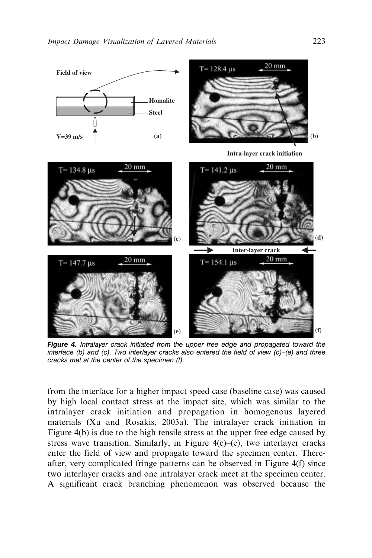

Figure 4. Intralayer crack initiated from the upper free edge and propagated toward the interface (b) and (c). Two interlayer cracks also entered the field of view (c)–(e) and three cracks met at the center of the specimen (f).

from the interface for a higher impact speed case (baseline case) was caused by high local contact stress at the impact site, which was similar to the intralayer crack initiation and propagation in homogenous layered materials (Xu and Rosakis, 2003a). The intralayer crack initiation in Figure 4(b) is due to the high tensile stress at the upper free edge caused by stress wave transition. Similarly, in Figure 4(c)–(e), two interlayer cracks enter the field of view and propagate toward the specimen center. Thereafter, very complicated fringe patterns can be observed in Figure 4(f) since two interlayer cracks and one intralayer crack meet at the specimen center. A significant crack branching phenomenon was observed because the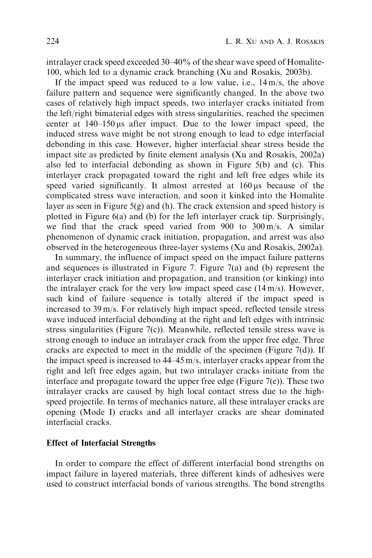intralayer crack speed exceeded 30–40% of the shear wave speed of Homalite-100, which led to a dynamic crack branching (Xu and Rosakis, 2003b).

If the impact speed was reduced to a low value, i.e.,  $14 \text{ m/s}$ , the above failure pattern and sequence were significantly changed. In the above two cases of relatively high impact speeds, two interlayer cracks initiated from the left/right bimaterial edges with stress singularities, reached the specimen center at  $140-150 \,\mu s$  after impact. Due to the lower impact speed, the induced stress wave might be not strong enough to lead to edge interfacial debonding in this case. However, higher interfacial shear stress beside the impact site as predicted by finite element analysis (Xu and Rosakis, 2002a) also led to interfacial debonding as shown in Figure 5(b) and (c). This interlayer crack propagated toward the right and left free edges while its speed varied significantly. It almost arrested at  $160 \,\mu s$  because of the complicated stress wave interaction, and soon it kinked into the Homalite layer as seen in Figure 5(g) and (h). The crack extension and speed history is plotted in Figure 6(a) and (b) for the left interlayer crack tip. Surprisingly, we find that the crack speed varied from 900 to 300 m/s. A similar phenomenon of dynamic crack initiation, propagation, and arrest was also observed in the heterogeneous three-layer systems (Xu and Rosakis, 2002a).

In summary, the influence of impact speed on the impact failure patterns and sequences is illustrated in Figure 7. Figure 7(a) and (b) represent the interlayer crack initiation and propagation, and transition (or kinking) into the intralayer crack for the very low impact speed case  $(14 \text{ m/s})$ . However, such kind of failure sequence is totally altered if the impact speed is increased to 39 m/s. For relatively high impact speed, reflected tensile stress wave induced interfacial debonding at the right and left edges with intrinsic stress singularities (Figure  $7(c)$ ). Meanwhile, reflected tensile stress wave is strong enough to induce an intralayer crack from the upper free edge. Three cracks are expected to meet in the middle of the specimen (Figure  $7(d)$ ). If the impact speed is increased to 44–45 m/s, interlayer cracks appear from the right and left free edges again, but two intralayer cracks initiate from the interface and propagate toward the upper free edge (Figure 7(e)). These two intralayer cracks are caused by high local contact stress due to the highspeed projectile. In terms of mechanics nature, all these intralayer cracks are opening (Mode I) cracks and all interlayer cracks are shear dominated interfacial cracks.

## Effect of Interfacial Strengths

In order to compare the effect of different interfacial bond strengths on impact failure in layered materials, three different kinds of adhesives were used to construct interfacial bonds of various strengths. The bond strengths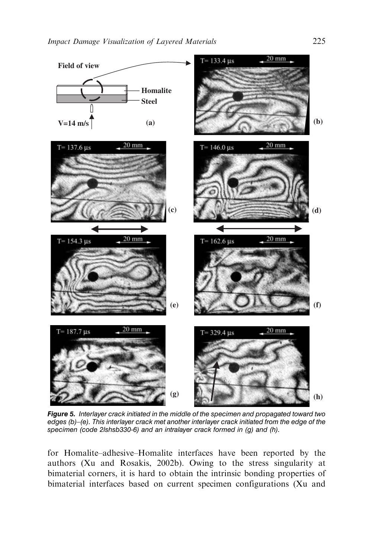

Figure 5. Interlayer crack initiated in the middle of the specimen and propagated toward two edges (b)–(e). This interlayer crack met another interlayer crack initiated from the edge of the specimen (code 2lshsb330-6) and an intralayer crack formed in (g) and (h).

for Homalite–adhesive–Homalite interfaces have been reported by the authors (Xu and Rosakis, 2002b). Owing to the stress singularity at bimaterial corners, it is hard to obtain the intrinsic bonding properties of bimaterial interfaces based on current specimen configurations (Xu and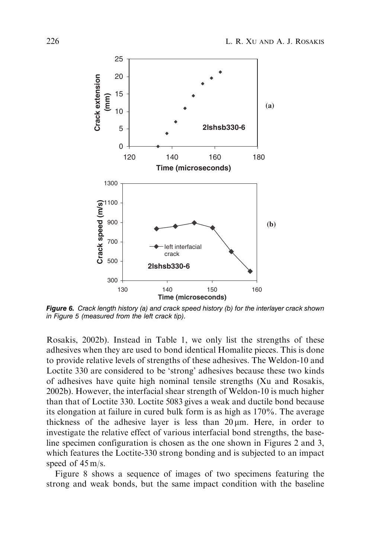

Figure 6. Crack length history (a) and crack speed history (b) for the interlayer crack shown in Figure 5 (measured from the left crack tip).

Rosakis, 2002b). Instead in Table 1, we only list the strengths of these adhesives when they are used to bond identical Homalite pieces. This is done to provide relative levels of strengths of these adhesives. The Weldon-10 and Loctite 330 are considered to be 'strong' adhesives because these two kinds of adhesives have quite high nominal tensile strengths (Xu and Rosakis, 2002b). However, the interfacial shear strength of Weldon-10 is much higher than that of Loctite 330. Loctite 5083 gives a weak and ductile bond because its elongation at failure in cured bulk form is as high as 170%. The average thickness of the adhesive layer is less than  $20 \mu m$ . Here, in order to investigate the relative effect of various interfacial bond strengths, the baseline specimen configuration is chosen as the one shown in Figures 2 and 3, which features the Loctite-330 strong bonding and is subjected to an impact speed of 45 m/s.

Figure 8 shows a sequence of images of two specimens featuring the strong and weak bonds, but the same impact condition with the baseline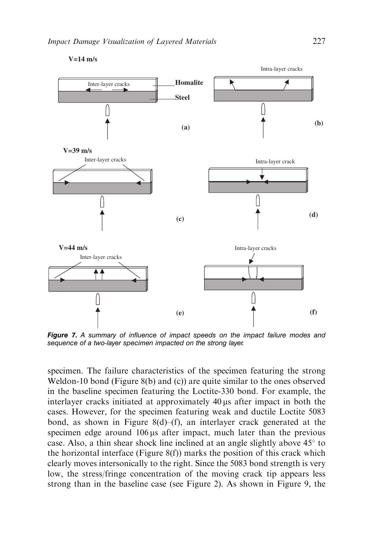

**V=14 m/s**

Figure 7. A summary of influence of impact speeds on the impact failure modes and sequence of a two-layer specimen impacted on the strong layer.

specimen. The failure characteristics of the specimen featuring the strong Weldon-10 bond (Figure 8(b) and (c)) are quite similar to the ones observed in the baseline specimen featuring the Loctite-330 bond. For example, the interlayer cracks initiated at approximately  $40 \mu s$  after impact in both the cases. However, for the specimen featuring weak and ductile Loctite 5083 bond, as shown in Figure 8(d)–(f), an interlayer crack generated at the specimen edge around  $106 \mu s$  after impact, much later than the previous case. Also, a thin shear shock line inclined at an angle slightly above  $45^\circ$  to the horizontal interface (Figure  $8(f)$ ) marks the position of this crack which clearly moves intersonically to the right. Since the 5083 bond strength is very low, the stress/fringe concentration of the moving crack tip appears less strong than in the baseline case (see Figure 2). As shown in Figure 9, the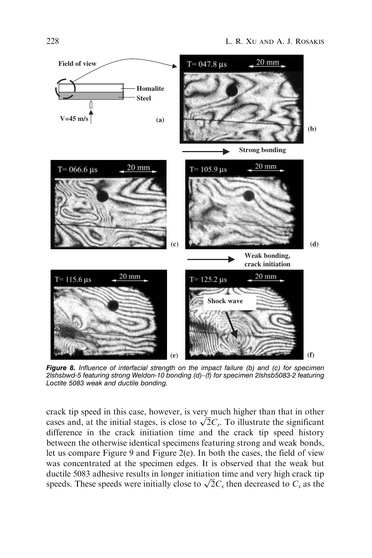

Figure 8. Influence of interfacial strength on the impact failure (b) and (c) for specimen 2lshsbwd-5 featuring strong Weldon-10 bonding (d)–(f) for specimen 2lshsb5083-2 featuring Loctite 5083 weak and ductile bonding.

crack tip speed in this case, however, is very much higher than that in other crack up speed in this case, nowever, is very much higher than that in other cases and, at the initial stages, is close to  $\sqrt{2}C_s$ . To illustrate the significant difference in the crack initiation time and the crack tip speed history between the otherwise identical specimens featuring strong and weak bonds, let us compare Figure 9 and Figure 2(e). In both the cases, the field of view was concentrated at the specimen edges. It is observed that the weak but ductile 5083 adhesive results in longer initiation time and very high crack tip speeds. These speeds were initially close to  $\sqrt{2}C_s$  then decreased to  $C_s$  as the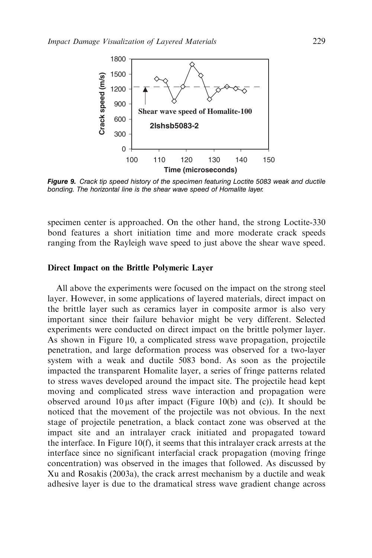

Figure 9. Crack tip speed history of the specimen featuring Loctite 5083 weak and ductile bonding. The horizontal line is the shear wave speed of Homalite layer.

specimen center is approached. On the other hand, the strong Loctite-330 bond features a short initiation time and more moderate crack speeds ranging from the Rayleigh wave speed to just above the shear wave speed.

#### Direct Impact on the Brittle Polymeric Layer

All above the experiments were focused on the impact on the strong steel layer. However, in some applications of layered materials, direct impact on the brittle layer such as ceramics layer in composite armor is also very important since their failure behavior might be very different. Selected experiments were conducted on direct impact on the brittle polymer layer. As shown in Figure 10, a complicated stress wave propagation, projectile penetration, and large deformation process was observed for a two-layer system with a weak and ductile 5083 bond. As soon as the projectile impacted the transparent Homalite layer, a series of fringe patterns related to stress waves developed around the impact site. The projectile head kept moving and complicated stress wave interaction and propagation were observed around 10 us after impact (Figure 10(b) and (c)). It should be noticed that the movement of the projectile was not obvious. In the next stage of projectile penetration, a black contact zone was observed at the impact site and an intralayer crack initiated and propagated toward the interface. In Figure 10(f), it seems that this intralayer crack arrests at the interface since no significant interfacial crack propagation (moving fringe concentration) was observed in the images that followed. As discussed by Xu and Rosakis (2003a), the crack arrest mechanism by a ductile and weak adhesive layer is due to the dramatical stress wave gradient change across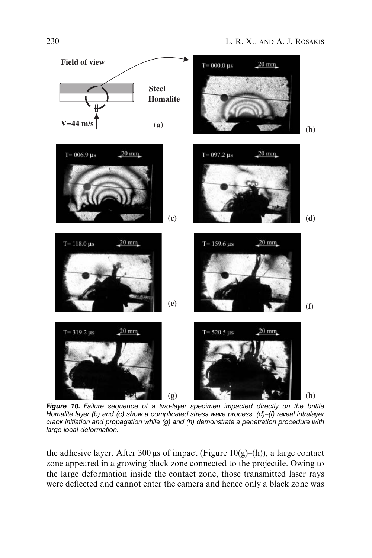

Figure 10. Failure sequence of a two-layer specimen impacted directly on the brittle Homalite layer (b) and (c) show a complicated stress wave process,  $(d)$ –(f) reveal intralayer crack initiation and propagation while (g) and (h) demonstrate a penetration procedure with large local deformation.

the adhesive layer. After 300  $\mu$ s of impact (Figure 10(g)–(h)), a large contact zone appeared in a growing black zone connected to the projectile. Owing to the large deformation inside the contact zone, those transmitted laser rays were deflected and cannot enter the camera and hence only a black zone was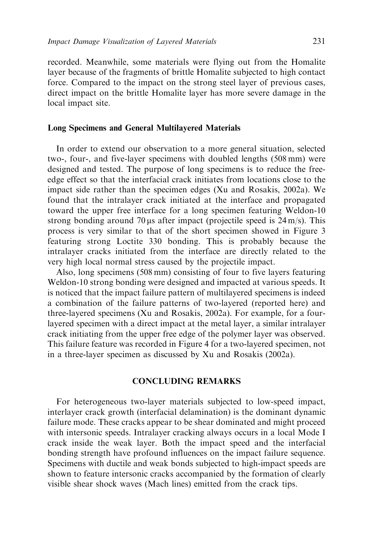recorded. Meanwhile, some materials were flying out from the Homalite layer because of the fragments of brittle Homalite subjected to high contact force. Compared to the impact on the strong steel layer of previous cases, direct impact on the brittle Homalite layer has more severe damage in the local impact site.

## Long Specimens and General Multilayered Materials

In order to extend our observation to a more general situation, selected two-, four-, and five-layer specimens with doubled lengths (508 mm) were designed and tested. The purpose of long specimens is to reduce the freeedge effect so that the interfacial crack initiates from locations close to the impact side rather than the specimen edges (Xu and Rosakis, 2002a). We found that the intralayer crack initiated at the interface and propagated toward the upper free interface for a long specimen featuring Weldon-10 strong bonding around 70  $\mu$ s after impact (projectile speed is 24 m/s). This process is very similar to that of the short specimen showed in Figure 3 featuring strong Loctite 330 bonding. This is probably because the intralayer cracks initiated from the interface are directly related to the very high local normal stress caused by the projectile impact.

Also, long specimens (508 mm) consisting of four to five layers featuring Weldon-10 strong bonding were designed and impacted at various speeds. It is noticed that the impact failure pattern of multilayered specimens is indeed a combination of the failure patterns of two-layered (reported here) and three-layered specimens (Xu and Rosakis, 2002a). For example, for a fourlayered specimen with a direct impact at the metal layer, a similar intralayer crack initiating from the upper free edge of the polymer layer was observed. This failure feature was recorded in Figure 4 for a two-layered specimen, not in a three-layer specimen as discussed by Xu and Rosakis (2002a).

## CONCLUDING REMARKS

For heterogeneous two-layer materials subjected to low-speed impact, interlayer crack growth (interfacial delamination) is the dominant dynamic failure mode. These cracks appear to be shear dominated and might proceed with intersonic speeds. Intralayer cracking always occurs in a local Mode I crack inside the weak layer. Both the impact speed and the interfacial bonding strength have profound influences on the impact failure sequence. Specimens with ductile and weak bonds subjected to high-impact speeds are shown to feature intersonic cracks accompanied by the formation of clearly visible shear shock waves (Mach lines) emitted from the crack tips.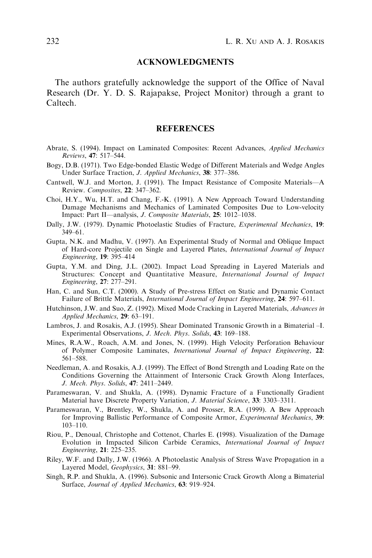## ACKNOWLEDGMENTS

The authors gratefully acknowledge the support of the Office of Naval Research (Dr. Y. D. S. Rajapakse, Project Monitor) through a grant to Caltech.

#### **REFERENCES**

- Abrate, S. (1994). Impact on Laminated Composites: Recent Advances, Applied Mechanics Reviews, 47: 517–544.
- Bogy, D.B. (1971). Two Edge-bonded Elastic Wedge of Different Materials and Wedge Angles Under Surface Traction, J. Applied Mechanics, 38: 377–386.
- Cantwell, W.J. and Morton, J. (1991). The Impact Resistance of Composite Materials—A Review. Composites, 22: 347–362.
- Choi, H.Y., Wu, H.T. and Chang, F.-K. (1991). A New Approach Toward Understanding Damage Mechanisms and Mechanics of Laminated Composites Due to Low-velocity Impact: Part II—analysis, J. Composite Materials, 25: 1012–1038.
- Dally, J.W. (1979). Dynamic Photoelastic Studies of Fracture, Experimental Mechanics, 19: 349–61.
- Gupta, N.K. and Madhu, V. (1997). An Experimental Study of Normal and Oblique Impact of Hard-core Projectile on Single and Layered Plates, International Journal of Impact Engineering, 19: 395–414
- Gupta, Y.M. and Ding, J.L. (2002). Impact Load Spreading in Layered Materials and Structures: Concept and Quantitative Measure, International Journal of Impact Engineering, 27: 277–291.
- Han, C. and Sun, C.T. (2000). A Study of Pre-stress Effect on Static and Dynamic Contact Failure of Brittle Materials, *International Journal of Impact Engineering*, 24: 597–611.
- Hutchinson, J.W. and Suo, Z. (1992). Mixed Mode Cracking in Layered Materials, Advances in Applied Mechanics, 29: 63-191.
- Lambros, J. and Rosakis, A.J. (1995). Shear Dominated Transonic Growth in a Bimaterial –I. Experimental Observations, J. Mech. Phys. Solids, 43: 169–188.
- Mines, R.A.W., Roach, A.M. and Jones, N. (1999). High Velocity Perforation Behaviour of Polymer Composite Laminates, International Journal of Impact Engineering, 22: 561–588.
- Needleman, A. and Rosakis, A.J. (1999). The Effect of Bond Strength and Loading Rate on the Conditions Governing the Attainment of Intersonic Crack Growth Along Interfaces, J. Mech. Phys. Solids, 47: 2411–2449.
- Parameswaran, V. and Shukla, A. (1998). Dynamic Fracture of a Functionally Gradient Material have Discrete Property Variation, J. Material Science, 33: 3303-3311.
- Parameswaran, V., Brentley, W., Shukla, A. and Prosser, R.A. (1999). A Bew Approach for Improving Ballistic Performance of Composite Armor, Experimental Mechanics, 39: 103–110.
- Riou, P., Denoual, Christophe and Cottenot, Charles E. (1998). Visualization of the Damage Evolution in Impacted Silicon Carbide Ceramics, International Journal of Impact Engineering, 21: 225–235.
- Riley, W.F. and Dally, J.W. (1966). A Photoelastic Analysis of Stress Wave Propagation in a Layered Model, Geophysics, 31: 881–99.
- Singh, R.P. and Shukla, A. (1996). Subsonic and Intersonic Crack Growth Along a Bimaterial Surface, Journal of Applied Mechanics, 63: 919-924.